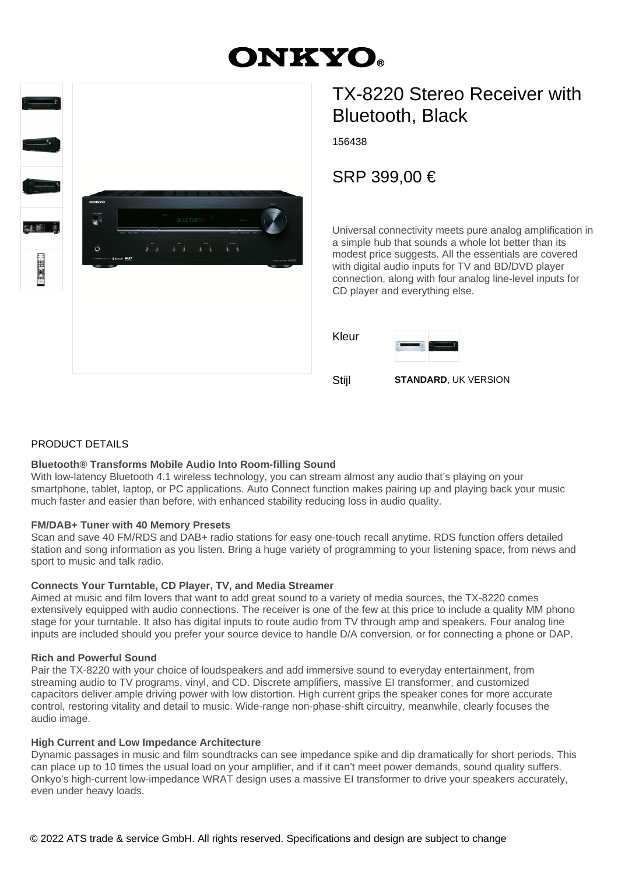# **ONKYO.**



## TX-8220 Stereo Receiver with Bluetooth, Black

156438

SRP 399,00 €

Universal connectivity meets pure analog amplification in a simple hub that sounds a whole lot better than its modest price suggests. All the essentials are covered with digital audio inputs for TV and BD/DVD player connection, along with four analog line-level inputs for CD player and everything else.

| Kleur | <b>College Inc.</b>         |
|-------|-----------------------------|
| Stijl | <b>STANDARD, UK VERSION</b> |

#### PRODUCT DETAILS

#### **Bluetooth® Transforms Mobile Audio Into Room-filling Sound**

With low-latency Bluetooth 4.1 wireless technology, you can stream almost any audio that's playing on your smartphone, tablet, laptop, or PC applications. Auto Connect function makes pairing up and playing back your music much faster and easier than before, with enhanced stability reducing loss in audio quality.

#### **FM/DAB+ Tuner with 40 Memory Presets**

Scan and save 40 FM/RDS and DAB+ radio stations for easy one-touch recall anytime. RDS function offers detailed station and song information as you listen. Bring a huge variety of programming to your listening space, from news and sport to music and talk radio.

#### **Connects Your Turntable, CD Player, TV, and Media Streamer**

Aimed at music and film lovers that want to add great sound to a variety of media sources, the TX-8220 comes extensively equipped with audio connections. The receiver is one of the few at this price to include a quality MM phono stage for your turntable. It also has digital inputs to route audio from TV through amp and speakers. Four analog line inputs are included should you prefer your source device to handle D/A conversion, or for connecting a phone or DAP.

#### **Rich and Powerful Sound**

Pair the TX-8220 with your choice of loudspeakers and add immersive sound to everyday entertainment, from streaming audio to TV programs, vinyl, and CD. Discrete amplifiers, massive EI transformer, and customized capacitors deliver ample driving power with low distortion. High current grips the speaker cones for more accurate control, restoring vitality and detail to music. Wide-range non-phase-shift circuitry, meanwhile, clearly focuses the audio image.

#### **High Current and Low Impedance Architecture**

Dynamic passages in music and film soundtracks can see impedance spike and dip dramatically for short periods. This can place up to 10 times the usual load on your amplifier, and if it can't meet power demands, sound quality suffers. Onkyo's high-current low-impedance WRAT design uses a massive EI transformer to drive your speakers accurately, even under heavy loads.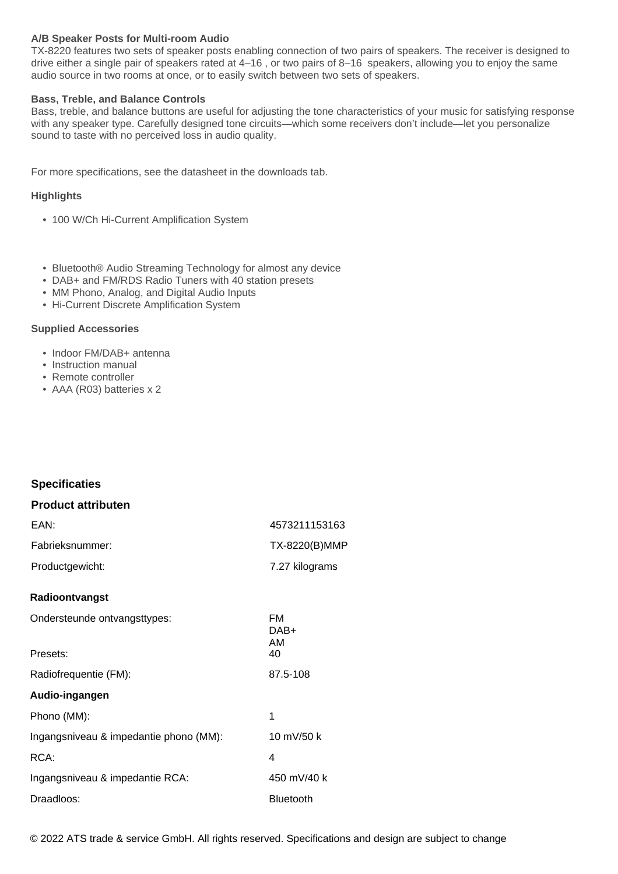#### **A/B Speaker Posts for Multi-room Audio**

TX-8220 features two sets of speaker posts enabling connection of two pairs of speakers. The receiver is designed to drive either a single pair of speakers rated at 4–16 , or two pairs of 8–16 speakers, allowing you to enjoy the same audio source in two rooms at once, or to easily switch between two sets of speakers.

#### **Bass, Treble, and Balance Controls**

Bass, treble, and balance buttons are useful for adjusting the tone characteristics of your music for satisfying response with any speaker type. Carefully designed tone circuits—which some receivers don't include—let you personalize sound to taste with no perceived loss in audio quality.

For more specifications, see the datasheet in the downloads tab.

#### **Highlights**

- 100 W/Ch Hi-Current Amplification System
- Bluetooth® Audio Streaming Technology for almost any device
- DAB+ and FM/RDS Radio Tuners with 40 station presets
- MM Phono, Analog, and Digital Audio Inputs
- Hi-Current Discrete Amplification System

#### **Supplied Accessories**

- Indoor FM/DAB+ antenna
- Instruction manual
- Remote controller
- AAA (R03) batteries x 2

#### **Specificaties**

#### **Product attributen**

| EAN:            | 4573211153163  |
|-----------------|----------------|
| Fabrieksnummer: | TX-8220(B)MMP  |
| Productgewicht: | 7.27 kilograms |

#### **Radioontvangst**

| Ondersteunde ontvangsttypes:           | FM<br>DAB+<br>AM |
|----------------------------------------|------------------|
| Presets:                               | 40               |
| Radiofrequentie (FM):                  | 87.5-108         |
| Audio-ingangen                         |                  |
| Phono (MM):                            | 1                |
| Ingangsniveau & impedantie phono (MM): | 10 mV/50 k       |
| RCA:                                   | 4                |
| Ingangsniveau & impedantie RCA:        | 450 mV/40 k      |
| Draadloos:                             | Bluetooth        |